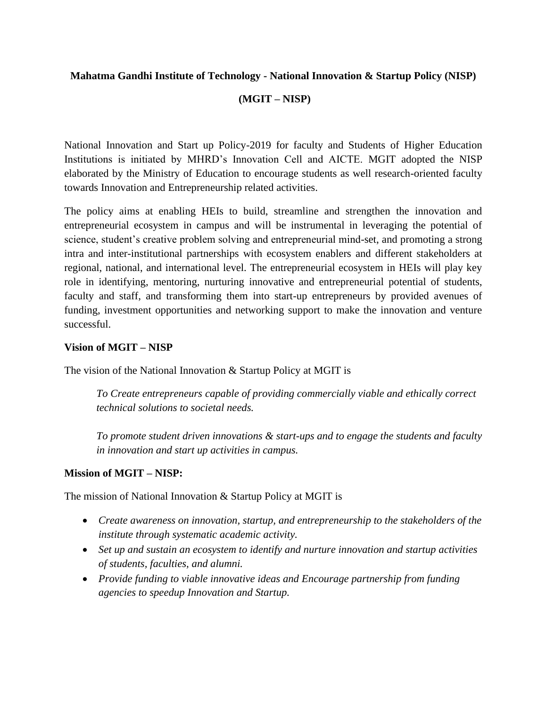## **Mahatma Gandhi Institute of Technology - National Innovation & Startup Policy (NISP)**

## **(MGIT – NISP)**

National Innovation and Start up Policy-2019 for faculty and Students of Higher Education Institutions is initiated by MHRD's Innovation Cell and AICTE. MGIT adopted the NISP elaborated by the Ministry of Education to encourage students as well research-oriented faculty towards Innovation and Entrepreneurship related activities.

The policy aims at enabling HEIs to build, streamline and strengthen the innovation and entrepreneurial ecosystem in campus and will be instrumental in leveraging the potential of science, student's creative problem solving and entrepreneurial mind-set, and promoting a strong intra and inter-institutional partnerships with ecosystem enablers and different stakeholders at regional, national, and international level. The entrepreneurial ecosystem in HEIs will play key role in identifying, mentoring, nurturing innovative and entrepreneurial potential of students, faculty and staff, and transforming them into start-up entrepreneurs by provided avenues of funding, investment opportunities and networking support to make the innovation and venture successful.

## **Vision of MGIT – NISP**

The vision of the National Innovation & Startup Policy at MGIT is

*To Create entrepreneurs capable of providing commercially viable and ethically correct technical solutions to societal needs.*

*To promote student driven innovations & start-ups and to engage the students and faculty in innovation and start up activities in campus.*

# **Mission of MGIT – NISP:**

The mission of National Innovation & Startup Policy at MGIT is

- *Create awareness on innovation, startup, and entrepreneurship to the stakeholders of the institute through systematic academic activity.*
- *Set up and sustain an ecosystem to identify and nurture innovation and startup activities of students, faculties, and alumni.*
- *Provide funding to viable innovative ideas and Encourage partnership from funding agencies to speedup Innovation and Startup.*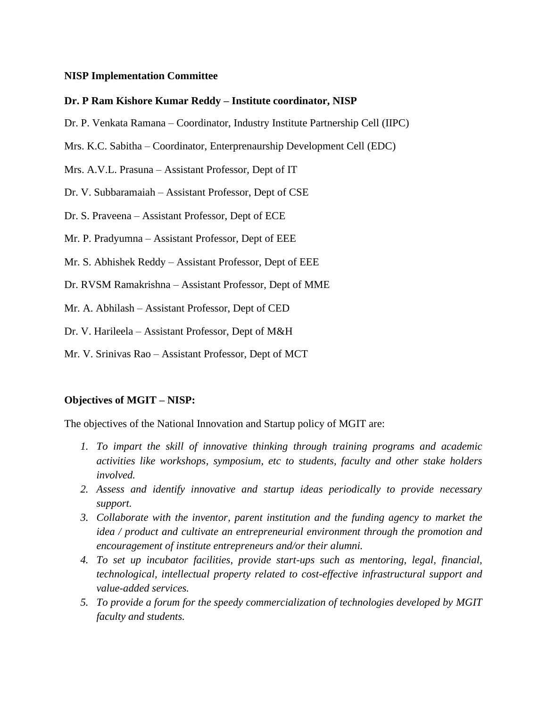## **NISP Implementation Committee**

#### **Dr. P Ram Kishore Kumar Reddy – Institute coordinator, NISP**

- Dr. P. Venkata Ramana Coordinator, Industry Institute Partnership Cell (IIPC)
- Mrs. K.C. Sabitha Coordinator, Enterprenaurship Development Cell (EDC)
- Mrs. A.V.L. Prasuna Assistant Professor, Dept of IT
- Dr. V. Subbaramaiah Assistant Professor, Dept of CSE
- Dr. S. Praveena Assistant Professor, Dept of ECE
- Mr. P. Pradyumna Assistant Professor, Dept of EEE
- Mr. S. Abhishek Reddy Assistant Professor, Dept of EEE
- Dr. RVSM Ramakrishna Assistant Professor, Dept of MME
- Mr. A. Abhilash Assistant Professor, Dept of CED
- Dr. V. Harileela Assistant Professor, Dept of M&H
- Mr. V. Srinivas Rao Assistant Professor, Dept of MCT

#### **Objectives of MGIT – NISP:**

The objectives of the National Innovation and Startup policy of MGIT are:

- *1. To impart the skill of innovative thinking through training programs and academic activities like workshops, symposium, etc to students, faculty and other stake holders involved.*
- *2. Assess and identify innovative and startup ideas periodically to provide necessary support.*
- *3. Collaborate with the inventor, parent institution and the funding agency to market the idea / product and cultivate an entrepreneurial environment through the promotion and encouragement of institute entrepreneurs and/or their alumni.*
- *4. To set up incubator facilities, provide start-ups such as mentoring, legal, financial, technological, intellectual property related to cost-effective infrastructural support and value-added services.*
- *5. To provide a forum for the speedy commercialization of technologies developed by MGIT faculty and students.*